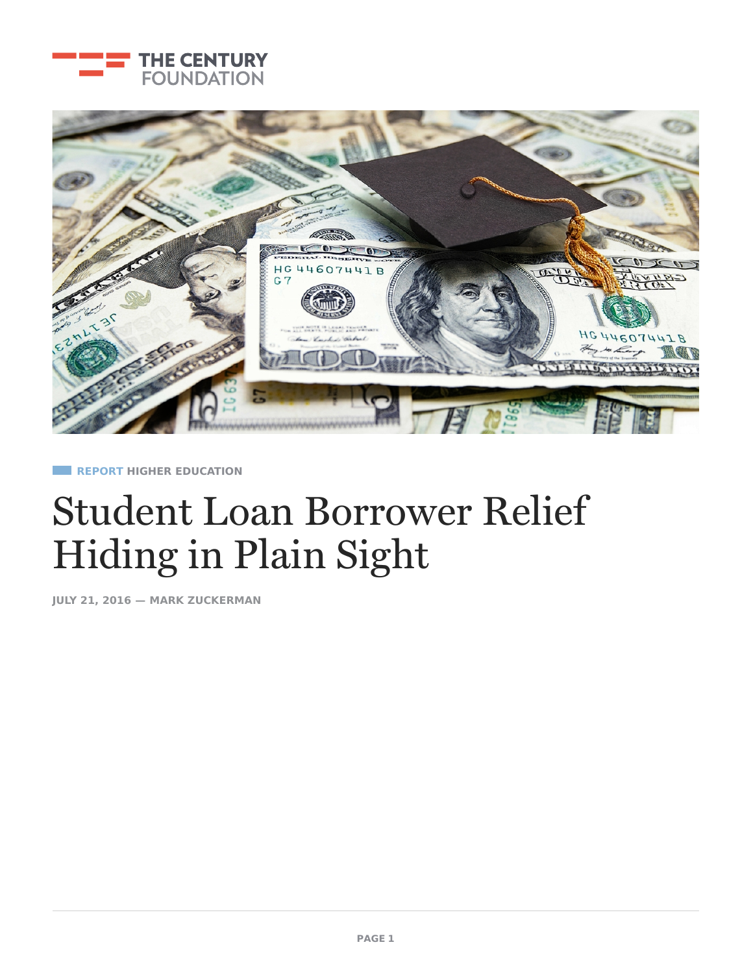



**REPORT HIGHER [EDUCATIO](https://tcf.org/topics/education/higher-education/)[N](https://tcf.org/topics/rights-justice/surveillance-privacy/)**

# [Student](https://tcf.org/topics/rights-justice/democracy/) Loan Borrower Relief [Hiding](https://tcf.org/topics/rights-justice/criminal-justice/) in Plain Sight

**JULY 21, 2016 — MARK [ZUCKERMAN](https://tcf.org/experts/mark-zuckerman/)**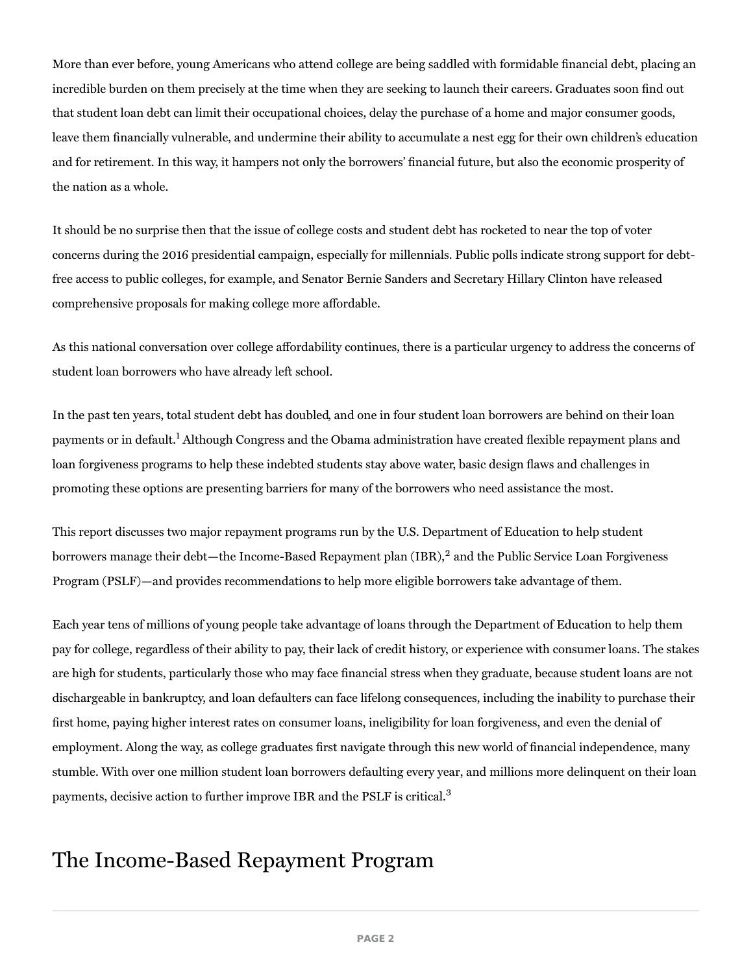More than ever before, young Americans who attend college are being saddled with formidable financial debt, placing an incredible burden on them precisely at the time when they are seeking to launch their careers. Graduates soon find out that student loan debt can limit their occupational choices, delay the purchase of a home and major consumer goods, leave them financially vulnerable, and undermine their ability to accumulate a nest egg for their own children's education and for retirement. In this way, it hampers not only the borrowers' financial future, but also the economic prosperity of the nation as a whole.

It should be no surprise then that the issue of college costs and student debt has rocketed to near the top of voter concerns during the 2016 presidential campaign, especially for millennials. Public polls indicate strong support for debtfree access to public colleges, for example, and Senator Bernie Sanders and Secretary Hillary Clinton have released comprehensive proposals for making college more affordable.

As this national conversation over college affordability continues, there is a particular urgency to address the concerns of student loan borrowers who have already left school.

In the past ten years, total student debt has doubled, and one in four student loan borrowers are behind on their loan payments or in default.<sup>1</sup> Although Congress and the Obama administration have created flexible repayment plans and loan forgiveness programs to help these indebted students stay above water, basic design flaws and challenges in promoting these options are presenting barriers for many of the borrowers who need assistance the most.

This report discusses two major repayment programs run by the U.S. Department of Education to help student borrowers manage their debt—the Income-Based Repayment plan (IBR),<sup>2</sup> and the Public Service Loan Forgiveness Program (PSLF)—and provides recommendations to help more eligible borrowers take advantage of them.

Each year tens of millions of young people take advantage of loans through the Department of Education to help them pay for college, regardless of their ability to pay, their lack of credit history, or experience with consumer loans. The stakes are high for students, particularly those who may face financial stress when they graduate, because student loans are not dischargeable in bankruptcy, and loan defaulters can face lifelong consequences, including the inability to purchase their first home, paying higher interest rates on consumer loans, ineligibility for loan forgiveness, and even the denial of employment. Along the way, as college graduates first navigate through this new world of financial independence, many stumble. With over one million student loan borrowers defaulting every year, and millions more delinquent on their loan payments, decisive action to further improve IBR and the PSLF is critical. $^3$ 

### The Income-Based Repayment Program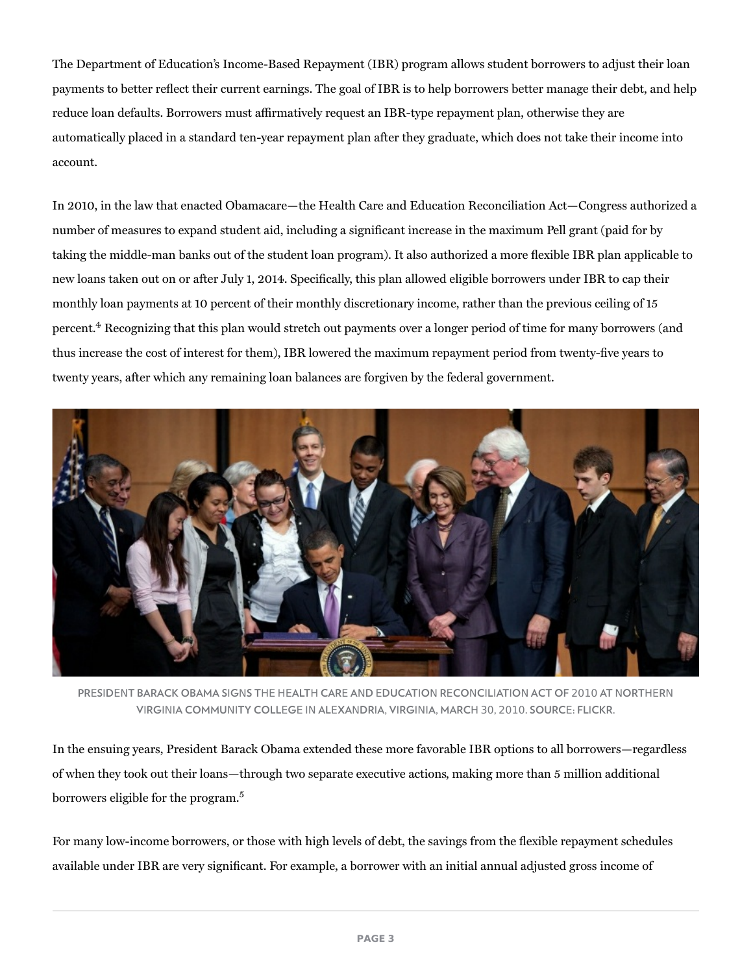The Department of Education's Income-Based Repayment (IBR) program allows student borrowers to adjust their loan payments to better reflect their current earnings. The goal of IBR is to help borrowers better manage their debt, and help reduce loan defaults. Borrowers must affirmatively request an IBR-type repayment plan, otherwise they are automatically placed in a standard ten-year repayment plan after they graduate, which does not take their income into account.

In 2010, in the law that enacted Obamacare—the Health Care and Education Reconciliation Act—Congress authorized a number of measures to expand student aid, including a significant increase in the maximum Pell grant (paid for by taking the middle-man banks out of the student loan program). It also authorized a more flexible IBR plan applicable to new loans taken out on or after July 1, 2014. Specifically, this plan allowed eligible borrowers under IBR to cap their monthly loan payments at 10 percent of their monthly discretionary income, rather than the previous ceiling of 15 percent. $4$  Recognizing that this plan would stretch out payments over a longer period of time for many borrowers (and thus increase the cost of interest for them), IBR lowered the maximum repayment period from twenty-five years to twenty years, after which any remaining loan balances are forgiven by the federal government.



PRESIDENT BARACK OBAMA SIGNS THE HEALTH CARE AND EDUCATION RECONCILIATION ACT OF 2010 AT NORTHERN VIRGINIA COMMUNITY COLLEGE IN ALEXANDRIA, VIRGINIA, MARCH 30, 2010. SOURCE: FLICKR.

In the ensuing years, President Barack Obama extended these more favorable IBR options to all borrowers—regardless of when they took out their loans—through two separate executive actions, making more than 5 million additional borrowers eligible for the program.<sup>5</sup>

For many low-income borrowers, or those with high levels of debt, the savings from the flexible repayment schedules available under IBR are very significant. For example, a borrower with an initial annual adjusted gross income of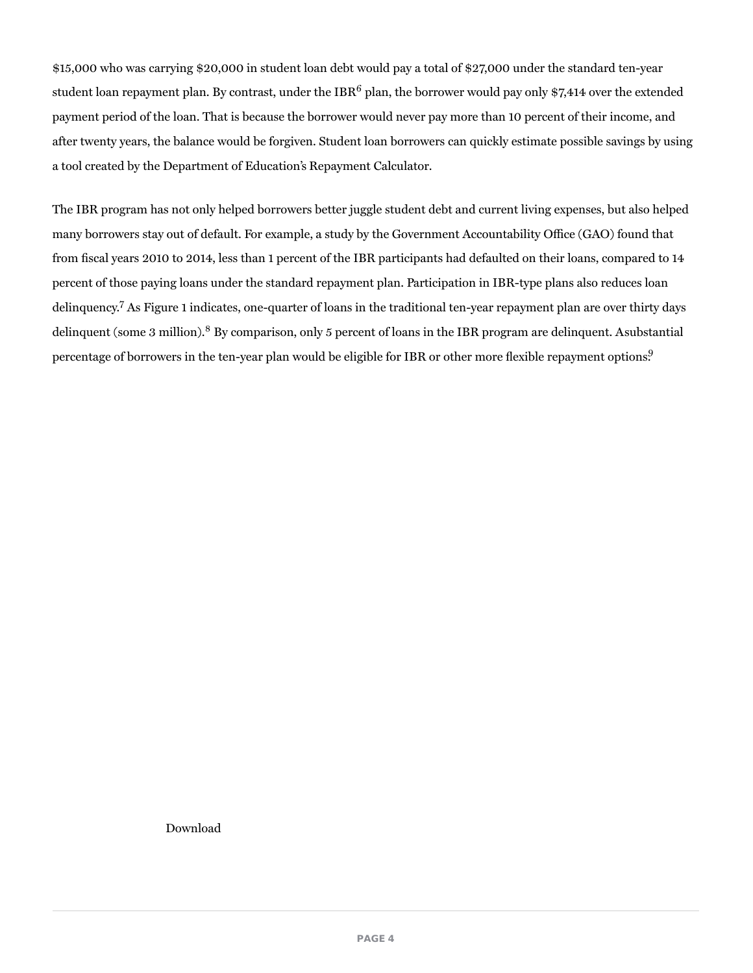\$15,000 who was carrying \$20,000 in student loan debt would pay a total of \$27,000 under the standard ten-year student loan repayment plan. By contrast, under the IBR $^6$  plan, the borrower would pay only \$7,414 over the extended payment period of the loan. That is because the borrower would never pay more than 10 percent of their income, and after twenty years, the balance would be forgiven. Student loan borrowers can quickly estimate possible savings by using a tool created by the Department of Education's Repayment Calculator.

The IBR program has not only helped borrowers better juggle student debt and current living expenses, but also helped many borrowers stay out of default. For example, a study by the Government Accountability Office (GAO) found that from fiscal years 2010 to 2014, less than 1 percent of the IBR participants had defaulted on their loans, compared to 14 percent of those paying loans under the standard repayment plan. Participation in IBR-type plans also reduces loan delinquency.<sup>7</sup> As Figure 1 indicates, one-quarter of loans in the traditional ten-year repayment plan are over thirty days delinquent (some 3 million).<sup>8</sup> By comparison, only 5 percent of loans in the IBR program are delinquent. Asubstantial percentage of borrowers in the ten-year plan would be eligible for IBR or other more flexible repayment options.<sup>9</sup>

Download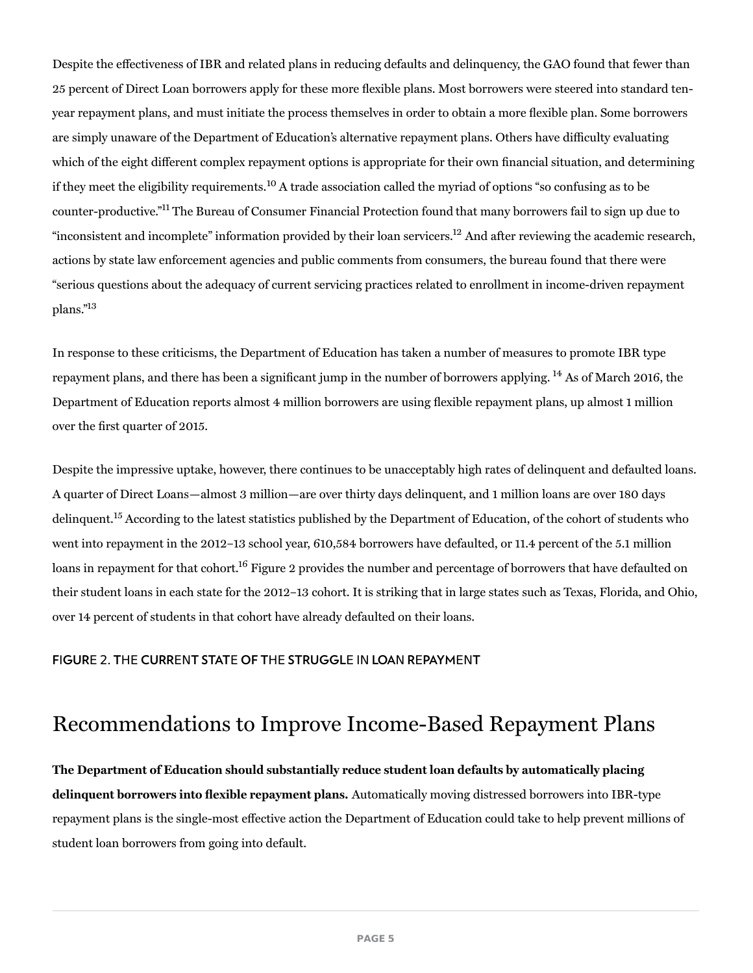Despite the effectiveness of IBR and related plans in reducing defaults and delinquency, the GAO found that fewer than 25 percent of Direct Loan borrowers apply for these more flexible plans. Most borrowers were steered into standard tenyear repayment plans, and must initiate the process themselves in order to obtain a more flexible plan. Some borrowers are simply unaware of the Department of Education's alternative repayment plans. Others have difficulty evaluating which of the eight different complex repayment options is appropriate for their own financial situation, and determining if they meet the eligibility requirements.<sup>10</sup> A trade association called the myriad of options "so confusing as to be counter-productive."<sup>11</sup> The Bureau of Consumer Financial Protection found that many borrowers fail to sign up due to "inconsistent and incomplete" information provided by their loan servicers.<sup>12</sup> And after reviewing the academic research, actions by state law enforcement agencies and public comments from consumers, the bureau found that there were "serious questions about the adequacy of current servicing practices related to enrollment in income-driven repayment plans." 13

In response to these criticisms, the Department of Education has taken a number of measures to promote IBR type repayment plans, and there has been a significant jump in the number of borrowers applying. <sup>14</sup> As of March 2016, the Department of Education reports almost 4 million borrowers are using flexible repayment plans, up almost 1 million over the first quarter of 2015.

Despite the impressive uptake, however, there continues to be unacceptably high rates of delinquent and defaulted loans. A quarter of Direct Loans—almost 3 million—are over thirty days delinquent, and 1 million loans are over 180 days delinquent.<sup>15</sup> According to the latest statistics published by the Department of Education, of the cohort of students who went into repayment in the 2012–13 school year, 610,584 borrowers have defaulted, or 11.4 percent of the 5.1 million loans in repayment for that cohort. $^{16}$  Figure 2 provides the number and percentage of borrowers that have defaulted on their student loans in each state for the 2012–13 cohort. It is striking that in large states such as Texas, Florida, and Ohio, over 14 percent of students in that cohort have already defaulted on their loans.

#### FIGURE 2. THE CURRENT STATE OF THE STRUGGLE IN LOAN REPAYMENT

### Recommendations to Improve Income-Based Repayment Plans

The Department of Education should substantially reduce student loan defaults by automatically placing delinquent borrowers into flexible repayment plans. Automatically moving distressed borrowers into IBR-type repayment plans is the single-most effective action the Department of Education could take to help prevent millions of student loan borrowers from going into default.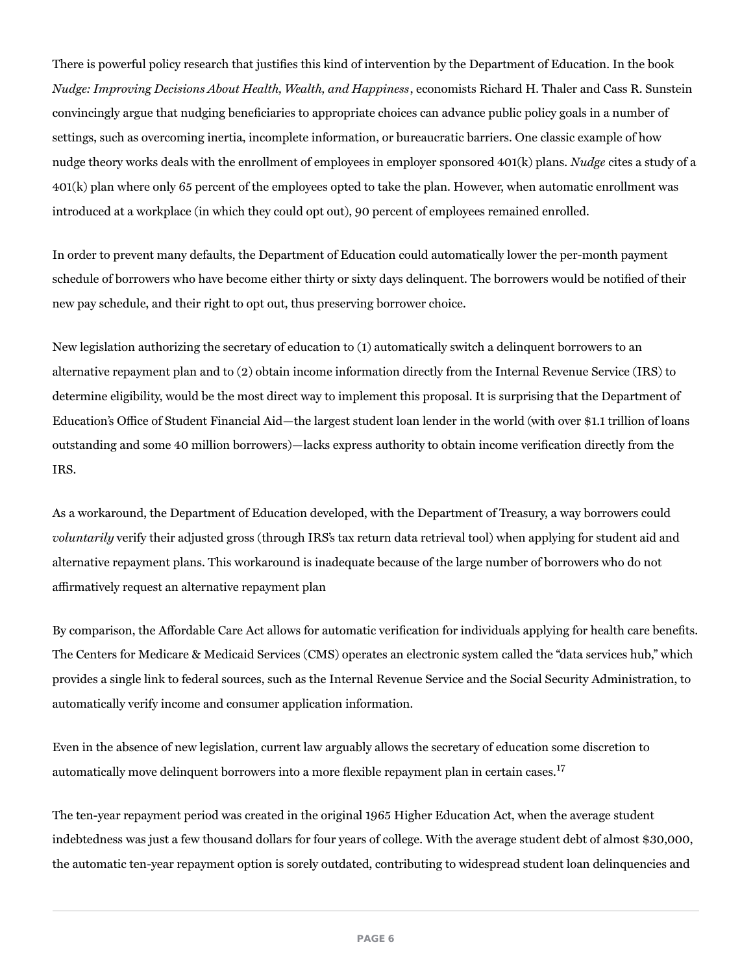There is powerful policy research that justifies this kind of intervention by the Department of Education. In the book Nudge: Improving Decisions About Health, Wealth, and Happiness, economists Richard H. Thaler and Cass R. Sunstein convincingly argue that nudging beneficiaries to appropriate choices can advance public policy goals in a number of settings, such as overcoming inertia, incomplete information, or bureaucratic barriers. One classic example of how nudge theory works deals with the enrollment of employees in employer sponsored 401(k) plans. Nudge cites a study of a 401(k) plan where only 65 percent of the employees opted to take the plan. However, when automatic enrollment was introduced at a workplace (in which they could opt out), 90 percent of employees remained enrolled.

In order to prevent many defaults, the Department of Education could automatically lower the per-month payment schedule of borrowers who have become either thirty or sixty days delinquent. The borrowers would be notified of their new pay schedule, and their right to opt out, thus preserving borrower choice.

New legislation authorizing the secretary of education to (1) automatically switch a delinquent borrowers to an alternative repayment plan and to (2) obtain income information directly from the Internal Revenue Service (IRS) to determine eligibility, would be the most direct way to implement this proposal. It is surprising that the Department of Education's Office of Student Financial Aid—the largest student loan lender in the world (with over \$1.1 trillion of loans outstanding and some 40 million borrowers)—lacks express authority to obtain income verification directly from the IRS.

As a workaround, the Department of Education developed, with the Department of Treasury, a way borrowers could voluntarily verify their adjusted gross (through IRS's tax return data retrieval tool) when applying for student aid and alternative repayment plans. This workaround is inadequate because of the large number of borrowers who do not affirmatively request an alternative repayment plan

By comparison, the Affordable Care Act allows for automatic verification for individuals applying for health care benefits. The Centers for Medicare & Medicaid Services (CMS) operates an electronic system called the "data services hub," which provides a single link to federal sources, such as the Internal Revenue Service and the Social Security Administration, to automatically verify income and consumer application information.

Even in the absence of new legislation, current law arguably allows the secretary of education some discretion to automatically move delinquent borrowers into a more flexible repayment plan in certain cases. 17

The ten-year repayment period was created in the original 1965 Higher Education Act, when the average student indebtedness was just a few thousand dollars for four years of college. With the average student debt of almost \$30,000, the automatic ten-year repayment option is sorely outdated, contributing to widespread student loan delinquencies and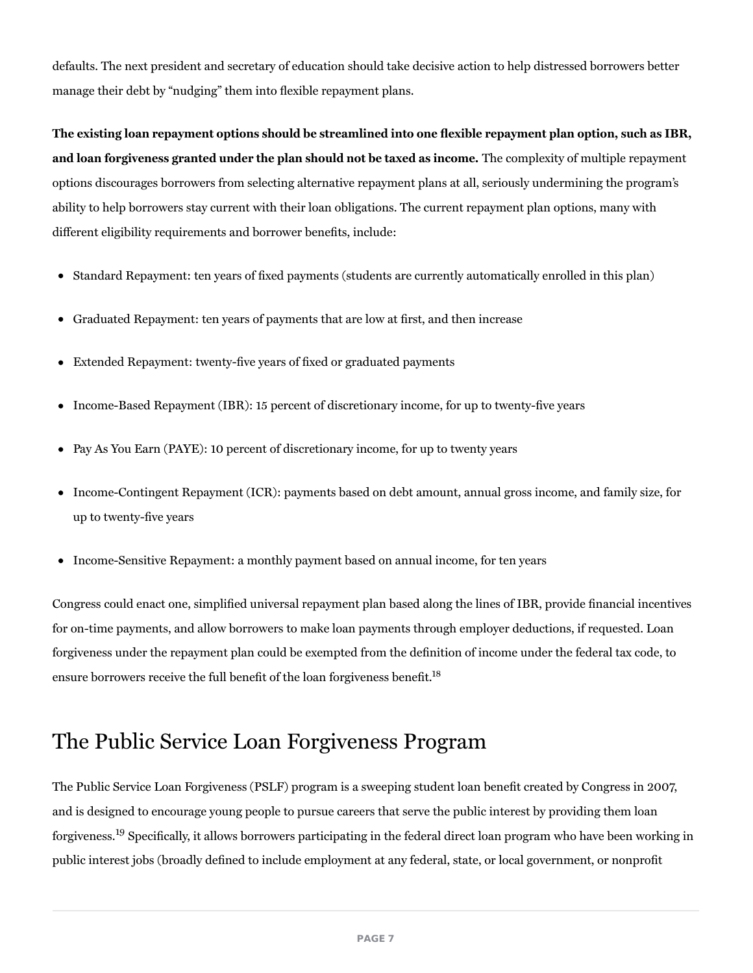defaults. The next president and secretary of education should take decisive action to help distressed borrowers better manage their debt by "nudging" them into flexible repayment plans.

The existing loan repayment options should be streamlined into one flexible repayment plan option, such as IBR, and loan forgiveness granted under the plan should not be taxed as income. The complexity of multiple repayment options discourages borrowers from selecting alternative repayment plans at all, seriously undermining the program's ability to help borrowers stay current with their loan obligations. The current repayment plan options, many with different eligibility requirements and borrower benefits, include:

- Standard Repayment: ten years of fixed payments (students are currently automatically enrolled in this plan)
- Graduated Repayment: ten years of payments that are low at first, and then increase
- Extended Repayment: twenty-five years of fixed or graduated payments
- Income-Based Repayment (IBR): 15 percent of discretionary income, for up to twenty-five years
- Pay As You Earn (PAYE): 10 percent of discretionary income, for up to twenty years
- Income-Contingent Repayment (ICR): payments based on debt amount, annual gross income, and family size, for up to twenty-five years
- Income-Sensitive Repayment: a monthly payment based on annual income, for ten years

Congress could enact one, simplified universal repayment plan based along the lines of IBR, provide financial incentives for on-time payments, and allow borrowers to make loan payments through employer deductions, if requested. Loan forgiveness under the repayment plan could be exempted from the definition of income under the federal tax code, to ensure borrowers receive the full benefit of the loan forgiveness benefit.<sup>18</sup>

### The Public Service Loan Forgiveness Program

The Public Service Loan Forgiveness (PSLF) program is a sweeping student loan benefit created by Congress in 2007, and is designed to encourage young people to pursue careers that serve the public interest by providing them loan forgiveness.<sup>19</sup> Specifically, it allows borrowers participating in the federal direct loan program who have been working in public interest jobs (broadly defined to include employment at any federal, state, or local government, or nonprofit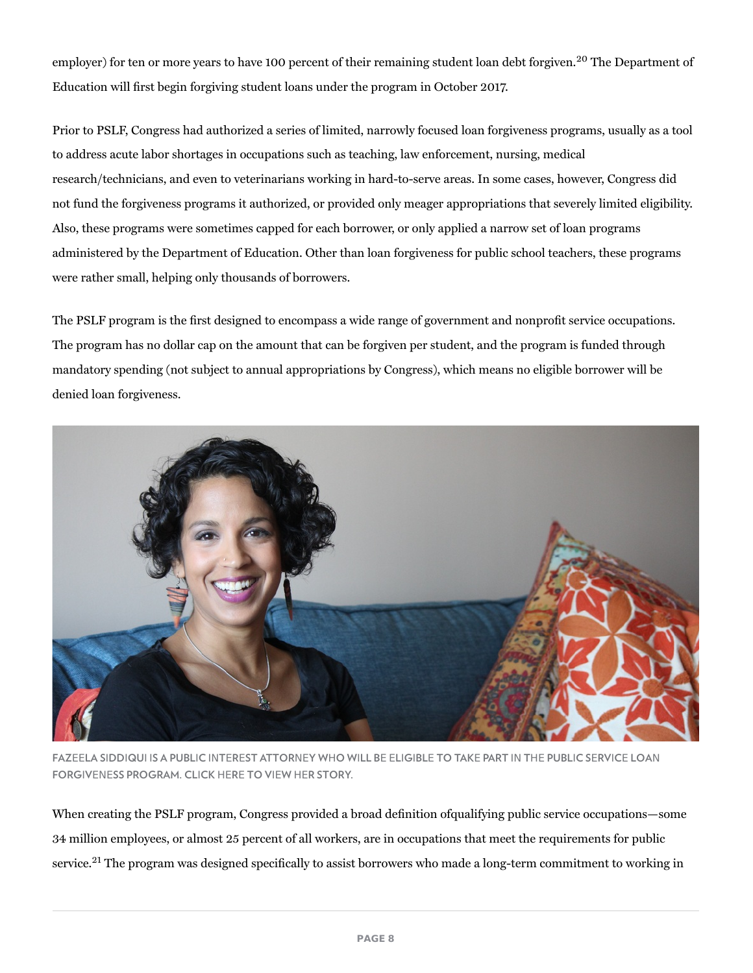employer) for ten or more years to have 100 percent of their remaining student loan debt forgiven.<sup>20</sup> The Department of Education will first begin forgiving student loans under the program in October 2017.

Prior to PSLF, Congress had authorized a series of limited, narrowly focused loan forgiveness programs, usually as a tool to address acute labor shortages in occupations such as teaching, law enforcement, nursing, medical research/technicians, and even to veterinarians working in hard-to-serve areas. In some cases, however, Congress did not fund the forgiveness programs it authorized, or provided only meager appropriations that severely limited eligibility. Also, these programs were sometimes capped for each borrower, or only applied a narrow set of loan programs administered by the Department of Education. Other than loan forgiveness for public school teachers, these programs were rather small, helping only thousands of borrowers.

The PSLF program is the first designed to encompass a wide range of government and nonprofit service occupations. The program has no dollar cap on the amount that can be forgiven per student, and the program is funded through mandatory spending (not subject to annual appropriations by Congress), which means no eligible borrower will be denied loan forgiveness.



FAZEELA SIDDIQUI IS A PUBLIC INTEREST ATTORNEY WHO WILL BE ELIGIBLE TO TAKE PART IN THE PUBLIC SERVICE LOAN FORGIVENESS PROGRAM. CLICK HERE TO VIEW HER STORY.

When creating the PSLF program, Congress provided a broad definition of qualifying public service occupations—some 34 million employees, or almost 25 percent of all workers, are in occupations that meet the requirements for public service.<sup>21</sup> The program was designed specifically to assist borrowers who made a long-term commitment to working in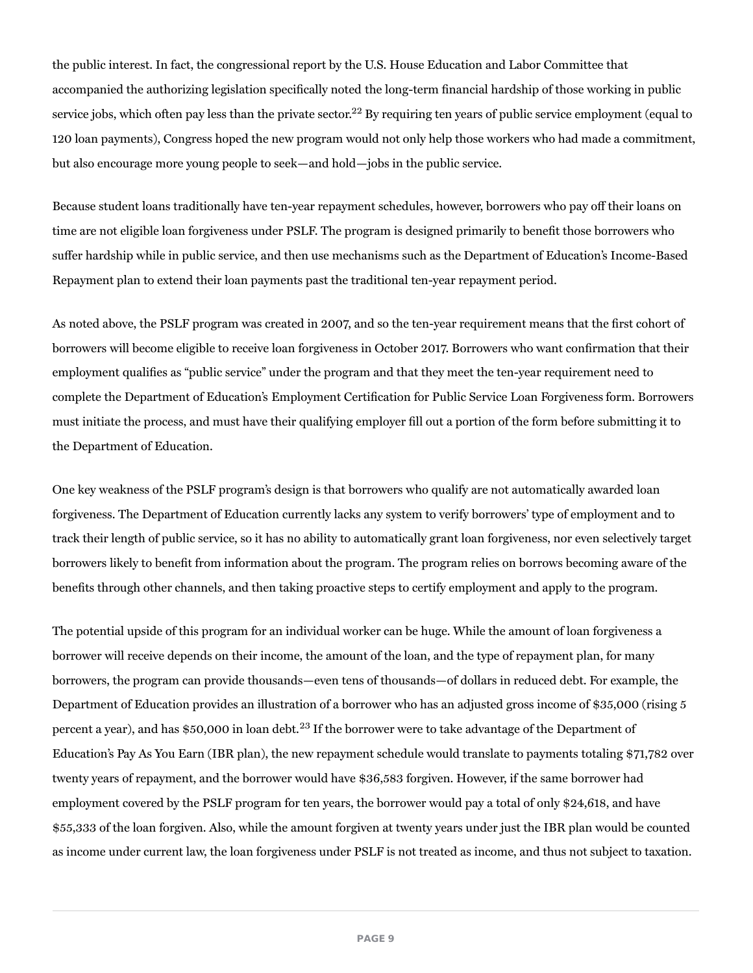the public interest. In fact, the congressional report by the U.S. House Education and Labor Committee that accompanied the authorizing legislation specifically noted the long-term financial hardship of those working in public service jobs, which often pay less than the private sector. $^{22}$  By requiring ten years of public service employment (equal to 120 loan payments), Congress hoped the new program would not only help those workers who had made a commitment, but also encourage more young people to seek—and hold—jobs in the public service.

Because student loans traditionally have ten-year repayment schedules, however, borrowers who pay off their loans on time are not eligible loan forgiveness under PSLF. The program is designed primarily to benefit those borrowers who suffer hardship while in public service, and then use mechanisms such as the Department of Education's Income-Based Repayment plan to extend their loan payments past the traditional ten-year repayment period.

As noted above, the PSLF program was created in 2007, and so the ten-year requirement means that the first cohort of borrowers will become eligible to receive loan forgiveness in October 2017. Borrowers who want confirmation that their employment qualifies as "public service" under the program and that they meet the ten-year requirement need to complete the Department of Education's Employment Certification for Public Service Loan Forgiveness form. Borrowers must initiate the process, and must have their qualifying employer fill out a portion of the form before submitting it to the Department of Education.

One key weakness of the PSLF program's design is that borrowers who qualify are not automatically awarded loan forgiveness. The Department of Education currently lacks any system to verify borrowers' type of employment and to track their length of public service, so it has no ability to automatically grant loan forgiveness, nor even selectively target borrowers likely to benefit from information about the program. The program relies on borrows becoming aware of the benefits through other channels, and then taking proactive steps to certify employment and apply to the program.

The potential upside of this program for an individual worker can be huge. While the amount of loan forgiveness a borrower will receive depends on their income, the amount of the loan, and the type of repayment plan, for many borrowers, the program can provide thousands—even tens of thousands—of dollars in reduced debt. For example, the Department of Education provides an illustration of a borrower who has an adjusted gross income of \$35,000 (rising 5 percent a year), and has \$50,000 in loan debt. $^{23}$  If the borrower were to take advantage of the Department of Education's Pay As You Earn (IBR plan), the new repayment schedule would translate to payments totaling \$71,782 over twenty years of repayment, and the borrower would have \$36,583 forgiven. However, if the same borrower had employment covered by the PSLF program for ten years, the borrower would pay a total of only \$24,618, and have \$55,333 of the loan forgiven. Also, while the amount forgiven at twenty years under just the IBR plan would be counted as income under current law, the loan forgiveness under PSLF is not treated as income, and thus not subject to taxation.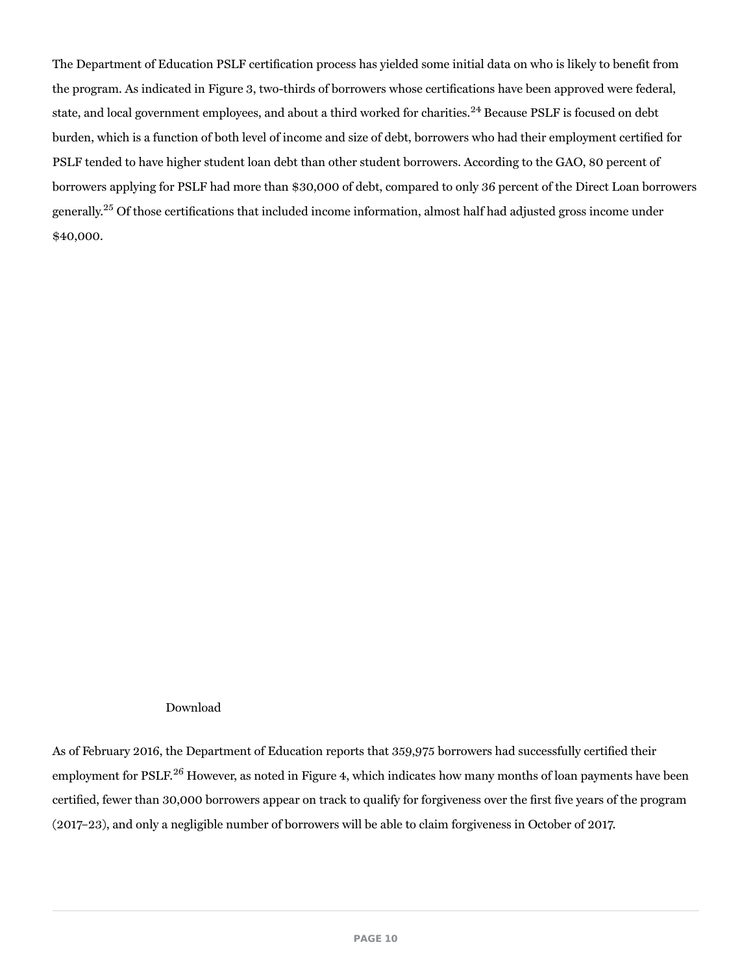The Department of Education PSLF certification process has yielded some initial data on who is likely to benefit from the program. As indicated in Figure 3, two-thirds of borrowers whose certifications have been approved were federal, state, and local government employees, and about a third worked for charities.<sup>24</sup> Because PSLF is focused on debt burden, which is a function of both level of income and size of debt, borrowers who had their employment certified for PSLF tended to have higher student loan debt than other student borrowers. According to the GAO, 80 percent of borrowers applying for PSLF had more than \$30,000 of debt, compared to only 36 percent of the Direct Loan borrowers generally.<sup>25</sup> Of those certifications that included income information, almost half had adjusted gross income under \$40,000.

#### Download

As of February 2016, the Department of Education reports that 359,975 borrowers had successfully certified their employment for PSLF.<sup>26</sup> However, as noted in Figure 4, which indicates how many months of loan payments have been certified, fewer than 30,000 borrowers appear on track to qualify for forgiveness over the first five years of the program (2017–23), and only a negligible number of borrowers will be able to claim forgiveness in October of 2017.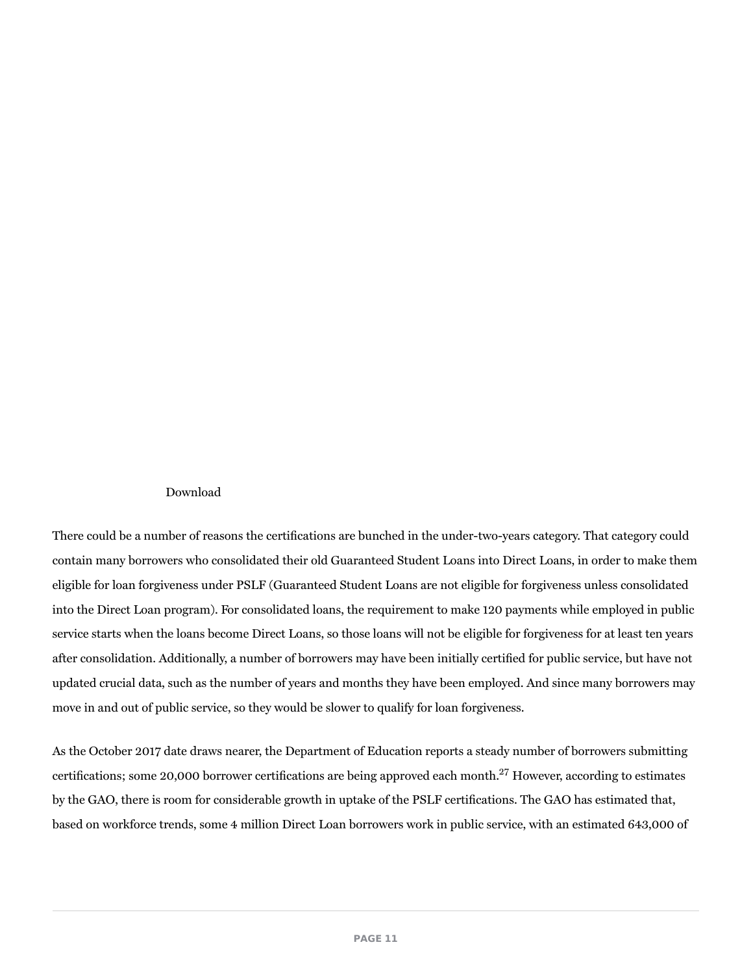#### Download

There could be a number of reasons the certifications are bunched in the under-two-years category. That category could contain many borrowers who consolidated their old Guaranteed Student Loans into Direct Loans, in order to make them eligible for loan forgiveness under PSLF (Guaranteed Student Loans are not eligible for forgiveness unless consolidated into the Direct Loan program). For consolidated loans, the requirement to make 120 payments while employed in public service starts when the loans become Direct Loans, so those loans will not be eligible for forgiveness for at least ten years after consolidation. Additionally, a number of borrowers may have been initially certified for public service, but have not updated crucial data, such as the number of years and months they have been employed. And since many borrowers may move in and out of public service, so they would be slower to qualify for loan forgiveness.

As the October 2017 date draws nearer, the Department of Education reports a steady number of borrowers submitting certifications; some 20,000 borrower certifications are being approved each month.<sup>27</sup> However, according to estimates by the GAO, there is room for considerable growth in uptake of the PSLF certifications. The GAO has estimated that, based on workforce trends, some 4 million Direct Loan borrowers work in public service, with an estimated 643,000 of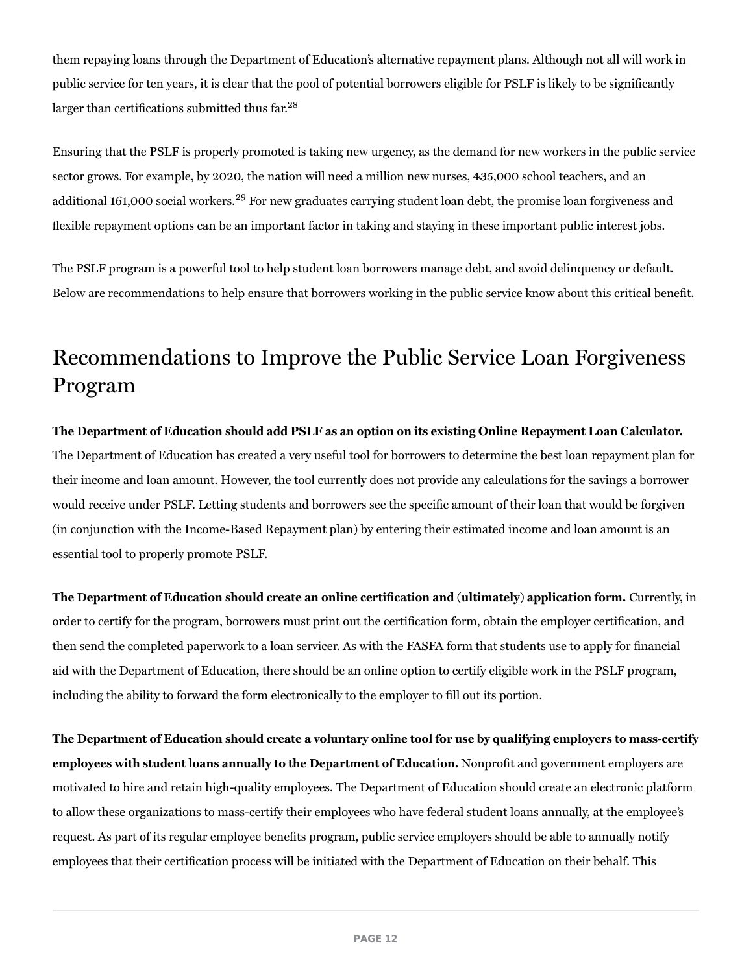them repaying loans through the Department of Education's alternative repayment plans. Although not all will work in public service for ten years, it is clear that the pool of potential borrowers eligible for PSLF is likely to be significantly larger than certifications submitted thus far.<sup>28</sup>

Ensuring that the PSLF is properly promoted is taking new urgency, as the demand for new workers in the public service sector grows. For example, by 2020, the nation will need a million new nurses, 435,000 school teachers, and an additional 161,000 social workers. $^{29}$  For new graduates carrying student loan debt, the promise loan forgiveness and flexible repayment options can be an important factor in taking and staying in these important public interest jobs.

The PSLF program is a powerful tool to help student loan borrowers manage debt, and avoid delinquency or default. Below are recommendations to help ensure that borrowers working in the public service know about this critical benefit.

## Recommendations to Improve the Public Service Loan Forgiveness Program

The Department of Education should add PSLF as an option on its existing Online Repayment Loan Calculator. The Department of Education has created a very useful tool for borrowers to determine the best loan repayment plan for their income and loan amount. However, the tool currently does not provide any calculations for the savings a borrower would receive under PSLF. Letting students and borrowers see the specific amount of their loan that would be forgiven (in conjunction with the Income-Based Repayment plan) by entering their estimated income and loan amount is an essential tool to properly promote PSLF.

The Department of Education should create an online certification and (ultimately) application form. Currently, in order to certify for the program, borrowers must print out the certification form, obtain the employer certification, and then send the completed paperwork to a loan servicer. As with the FASFA form that students use to apply for financial aid with the Department of Education, there should be an online option to certify eligible work in the PSLF program, including the ability to forward the form electronically to the employer to fill out its portion.

The Department of Education should create a voluntary online tool for use by qualifying employers to mass-certify employees with student loans annually to the Department of Education. Nonprofit and government employers are motivated to hire and retain high-quality employees. The Department of Education should create an electronic platform to allow these organizations to mass-certify their employees who have federal student loans annually, at the employee's request. As part of its regular employee benefits program, public service employers should be able to annually notify employees that their certification process will be initiated with the Department of Education on their behalf. This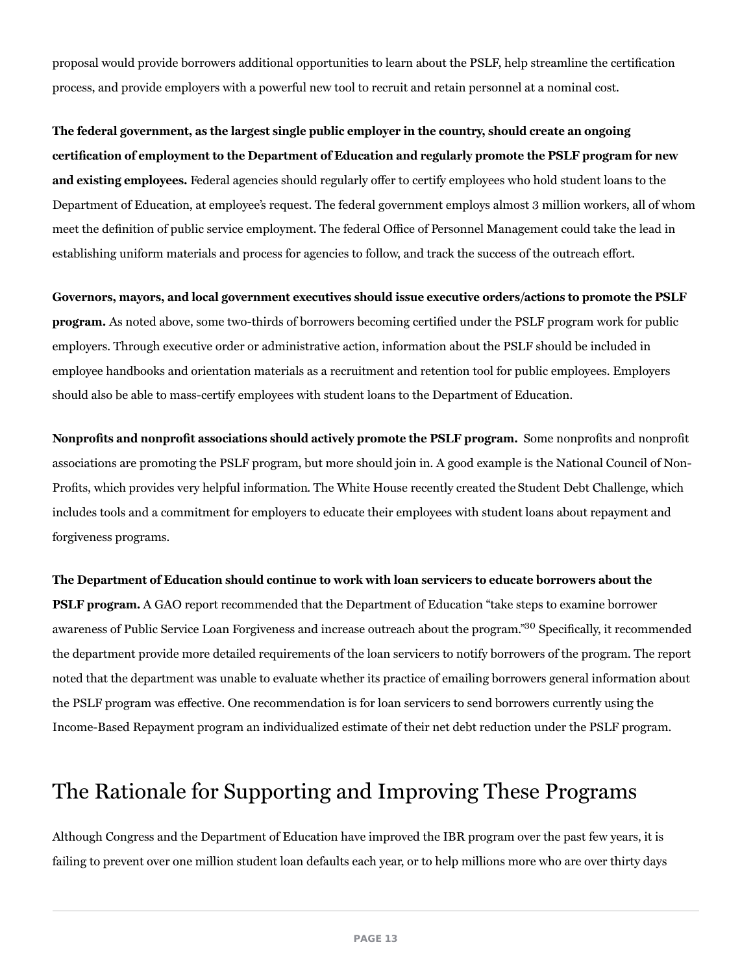proposal would provide borrowers additional opportunities to learn about the PSLF, help streamline the certification process, and provide employers with a powerful new tool to recruit and retain personnel at a nominal cost.

The federal government, as the largest single public employer in the country, should create an ongoing certification of employment to the Department of Education and regularly promote the PSLF program for new and existing employees. Federal agencies should regularly offer to certify employees who hold student loans to the Department of Education, at employee's request. The federal government employs almost 3 million workers, all of whom meet the definition of public service employment. The federal Office of Personnel Management could take the lead in establishing uniform materials and process for agencies to follow, and track the success of the outreach effort.

Governors, mayors, and local government executives should issue executive orders/actions to promote the PSLF program. As noted above, some two-thirds of borrowers becoming certified under the PSLF program work for public employers. Through executive order or administrative action, information about the PSLF should be included in employee handbooks and orientation materials as a recruitment and retention tool for public employees. Employers should also be able to mass-certify employees with student loans to the Department of Education.

Nonprofits and nonprofit associations should actively promote the PSLF program. Some nonprofits and nonprofit associations are promoting the PSLF program, but more should join in. A good example is the National Council of Non-Profits, which provides very helpful information. The White House recently created the Student Debt Challenge, which includes tools and a commitment for employers to educate their employees with student loans about repayment and forgiveness programs.

#### The Department of Education should continue to work with loan servicers to educate borrowers about the

PSLF program. A GAO report recommended that the Department of Education "take steps to examine borrower awareness of Public Service Loan Forgiveness and increase outreach about the program."<sup>30</sup> Specifically, it recommended the department provide more detailed requirements of the loan servicers to notify borrowers of the program. The report noted that the department was unable to evaluate whether its practice of emailing borrowers general information about the PSLF program was effective. One recommendation is for loan servicers to send borrowers currently using the Income-Based Repayment program an individualized estimate of their net debt reduction under the PSLF program.

### The Rationale for Supporting and Improving These Programs

Although Congress and the Department of Education have improved the IBR program over the past few years, it is failing to prevent over one million student loan defaults each year, or to help millions more who are over thirty days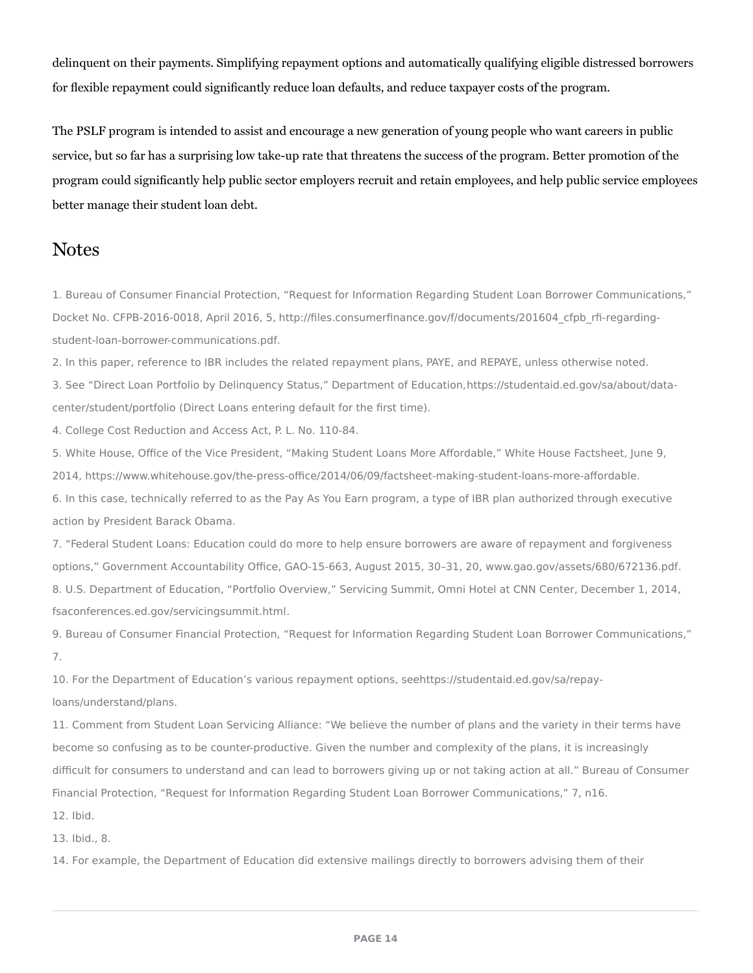delinquent on their payments. Simplifying repayment options and automatically qualifying eligible distressed borrowers for flexible repayment could significantly reduce loan defaults, and reduce taxpayer costs of the program.

The PSLF program is intended to assist and encourage a new generation of young people who want careers in public service, but so far has a surprising low take-up rate that threatens the success of the program. Better promotion of the program could significantly help public sector employers recruit and retain employees, and help public service employees better manage their student loan debt.

### **Notes**

1. Bureau of Consumer Financial Protection, "Request for Information Regarding Student Loan Borrower Communications," Docket No. CFPB-2016-0018, April 2016, 5, http://files.consumerfinance.gov/f/documents/201604\_cfpb\_rfi-regardingstudent-loan-borrower-communications.pdf.

2. In this paper, reference to IBR includes the related repayment plans, PAYE, and REPAYE, unless otherwise noted.

3. See "Direct Loan Portfolio by Delinquency Status," Department of Education,https://studentaid.ed.gov/sa/about/datacenter/student/portfolio (Direct Loans entering default for the first time).

4. College Cost Reduction and Access Act, P. L. No. 110-84.

5. White House, Office of the Vice President, "Making Student Loans More Affordable," White House Factsheet, June 9, 2014, https://www.whitehouse.gov/the-press-office/2014/06/09/factsheet-making-student-loans-more-affordable. 6. In this case, technically referred to as the Pay As You Earn program, a type of IBR plan authorized through executive action by President Barack Obama.

7. "Federal Student Loans: Education could do more to help ensure borrowers are aware of repayment and forgiveness options," Government Accountability Office, GAO-15-663, August 2015, 30–31, 20, www.gao.gov/assets/680/672136.pdf. 8. U.S. Department of Education, "Portfolio Overview," Servicing Summit, Omni Hotel at CNN Center, December 1, 2014, fsaconferences.ed.gov/servicingsummit.html.

9. Bureau of Consumer Financial Protection, "Request for Information Regarding Student Loan Borrower Communications," 7.

10. For the Department of Education's various repayment options, seehttps://studentaid.ed.gov/sa/repayloans/understand/plans.

11. Comment from Student Loan Servicing Alliance: "We believe the number of plans and the variety in their terms have become so confusing as to be counter-productive. Given the number and complexity of the plans, it is increasingly difficult for consumers to understand and can lead to borrowers giving up or not taking action at all." Bureau of Consumer Financial Protection, "Request for Information Regarding Student Loan Borrower Communications," 7, n16.

12. Ibid.

13. Ibid., 8.

14. For example, the Department of Education did extensive mailings directly to borrowers advising them of their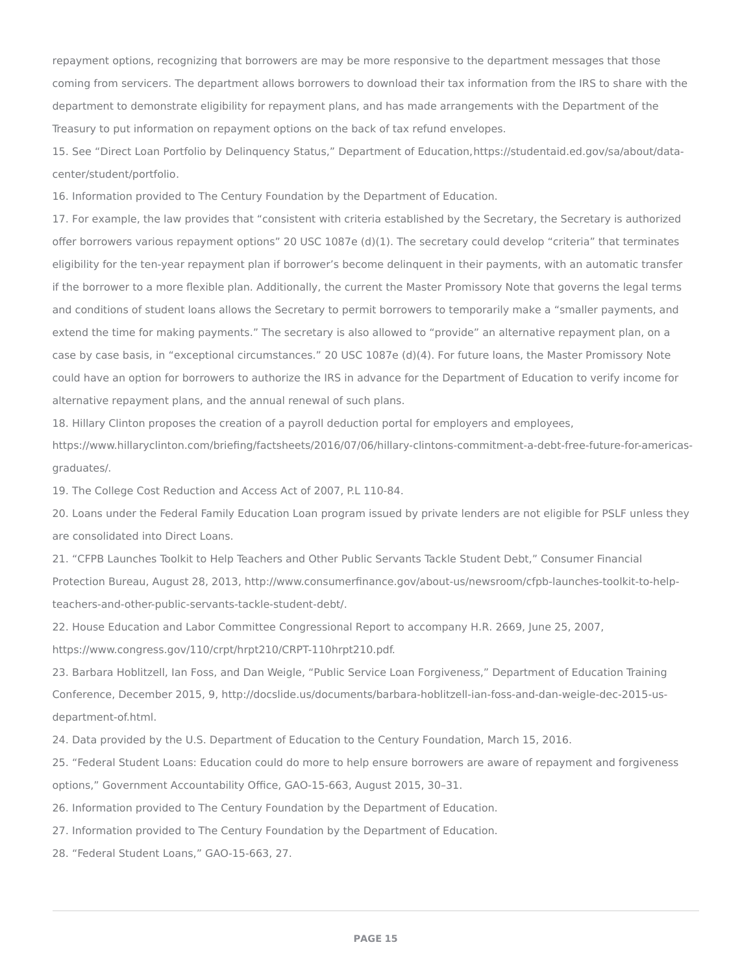repayment options, recognizing that borrowers are may be more responsive to the department messages that those coming from servicers. The department allows borrowers to download their tax information from the IRS to share with the department to demonstrate eligibility for repayment plans, and has made arrangements with the Department of the Treasury to put information on repayment options on the back of tax refund envelopes.

15. See "Direct Loan Portfolio by Delinquency Status," Department of Education,https://studentaid.ed.gov/sa/about/datacenter/student/portfolio.

16. Information provided to The Century Foundation by the Department of Education.

17. For example, the law provides that "consistent with criteria established by the Secretary, the Secretary is authorized offer borrowers various repayment options" 20 USC 1087e (d)(1). The secretary could develop "criteria" that terminates eligibility for the ten-year repayment plan if borrower's become delinquent in their payments, with an automatic transfer if the borrower to a more flexible plan. Additionally, the current the Master Promissory Note that governs the legal terms and conditions of student loans allows the Secretary to permit borrowers to temporarily make a "smaller payments, and extend the time for making payments." The secretary is also allowed to "provide" an alternative repayment plan, on a case by case basis, in "exceptional circumstances." 20 USC 1087e (d)(4). For future loans, the Master Promissory Note could have an option for borrowers to authorize the IRS in advance for the Department of Education to verify income for alternative repayment plans, and the annual renewal of such plans.

18. Hillary Clinton proposes the creation of a payroll deduction portal for employers and employees,

https://www.hillaryclinton.com/briefing/factsheets/2016/07/06/hillary-clintons-commitment-a-debt-free-future-for-americasgraduates/.

19. The College Cost Reduction and Access Act of 2007, P.L 110-84.

20. Loans under the Federal Family Education Loan program issued by private lenders are not eligible for PSLF unless they are consolidated into Direct Loans.

21. "CFPB Launches Toolkit to Help Teachers and Other Public Servants Tackle Student Debt," Consumer Financial Protection Bureau, August 28, 2013, http://www.consumerfinance.gov/about-us/newsroom/cfpb-launches-toolkit-to-helpteachers-and-other-public-servants-tackle-student-debt/.

22. House Education and Labor Committee Congressional Report to accompany H.R. 2669, June 25, 2007,

https://www.congress.gov/110/crpt/hrpt210/CRPT-110hrpt210.pdf.

23. Barbara Hoblitzell, Ian Foss, and Dan Weigle, "Public Service Loan Forgiveness," Department of Education Training Conference, December 2015, 9, http://docslide.us/documents/barbara-hoblitzell-ian-foss-and-dan-weigle-dec-2015-usdepartment-of.html.

24. Data provided by the U.S. Department of Education to the Century Foundation, March 15, 2016.

25. "Federal Student Loans: Education could do more to help ensure borrowers are aware of repayment and forgiveness options," Government Accountability Office, GAO-15-663, August 2015, 30–31.

26. Information provided to The Century Foundation by the Department of Education.

27. Information provided to The Century Foundation by the Department of Education.

28. "Federal Student Loans," GAO-15-663, 27.